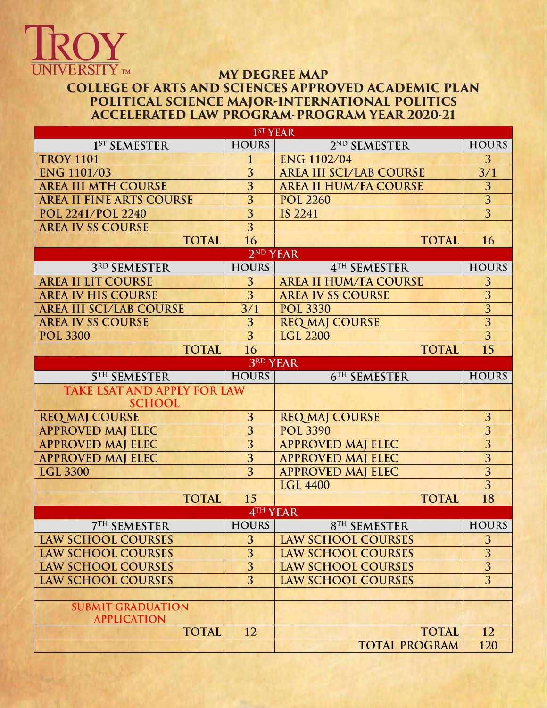

## **MY DEGREE MAP COLLEGE OF ARTS AND SCIENCES APPROVED ACADEMIC PLAN POLITICAL SCIENCE MAJOR-INTERNATIONAL POLITICS ACCELERATED LAW PROGRAM-PROGRAM YEAR 2020-21**

|                                    | $1$ <sup>o</sup> t EAK  |                                |                |  |  |  |
|------------------------------------|-------------------------|--------------------------------|----------------|--|--|--|
| 1 <sup>ST</sup> SEMESTER           | <b>HOURS</b>            | 2ND SEMESTER                   | <b>HOURS</b>   |  |  |  |
| <b>TROY 1101</b>                   | $\mathbf{1}$            | <b>ENG 1102/04</b>             | 3              |  |  |  |
| <b>ENG 1101/03</b>                 | 3                       | <b>AREA III SCI/LAB COURSE</b> | 3/1            |  |  |  |
| <b>AREA III MTH COURSE</b>         | 3                       | <b>AREA II HUM/FA COURSE</b>   | 3              |  |  |  |
| <b>AREA II FINE ARTS COURSE</b>    | 3                       | <b>POL 2260</b>                | 3              |  |  |  |
| POL 2241/POL 2240                  | 3                       | <b>IS 2241</b>                 | $\overline{3}$ |  |  |  |
| <b>AREA IV SS COURSE</b>           | $\overline{3}$          |                                |                |  |  |  |
| <b>TOTAL</b>                       | 16                      | <b>TOTAL</b>                   | 16             |  |  |  |
|                                    | 2 <sup>ND</sup> YEAR    |                                |                |  |  |  |
| 3RD SEMESTER                       | <b>HOURS</b>            | 4TH SEMESTER                   | <b>HOURS</b>   |  |  |  |
| <b>AREA II LIT COURSE</b>          | 3                       | <b>AREA II HUM/FA COURSE</b>   | 3              |  |  |  |
| <b>AREA IV HIS COURSE</b>          | 3                       | <b>AREA IV SS COURSE</b>       | $\overline{3}$ |  |  |  |
| <b>AREA III SCI/LAB COURSE</b>     | $\overline{3}/1$        | <b>POL 3330</b>                | $\overline{3}$ |  |  |  |
| <b>AREA IV SS COURSE</b>           | 3                       | <b>REQ MAJ COURSE</b>          | $\overline{3}$ |  |  |  |
| <b>POL 3300</b>                    | $\overline{3}$          | <b>LGL 2200</b>                | $\overline{3}$ |  |  |  |
| <b>TOTAL</b>                       | 16                      | <b>TOTAL</b>                   | 15             |  |  |  |
| 3RD YEAR                           |                         |                                |                |  |  |  |
| <b>5TH SEMESTER</b>                | <b>HOURS</b>            | 6TH SEMESTER                   | <b>HOURS</b>   |  |  |  |
| <b>TAKE LSAT AND APPLY FOR LAW</b> |                         |                                |                |  |  |  |
| <b>SCHOOL</b>                      |                         |                                |                |  |  |  |
| <b>REQ MAJ COURSE</b>              | 3                       | <b>REQ MAJ COURSE</b>          | 3              |  |  |  |
| <b>APPROVED MAJ ELEC</b>           | $\overline{3}$          | <b>POL 3390</b>                | $\overline{3}$ |  |  |  |
| <b>APPROVED MAJ ELEC</b>           | $\overline{\mathbf{3}}$ | <b>APPROVED MAJ ELEC</b>       | $\overline{3}$ |  |  |  |
| <b>APPROVED MAJ ELEC</b>           | $\overline{3}$          | <b>APPROVED MAJ ELEC</b>       | $\overline{3}$ |  |  |  |
| <b>LGL 3300</b>                    | 3                       | <b>APPROVED MAJ ELEC</b>       | $\overline{3}$ |  |  |  |
|                                    |                         | <b>LGL 4400</b>                | $\overline{3}$ |  |  |  |
| <b>TOTAL</b>                       | 15                      | <b>TOTAL</b>                   | 18             |  |  |  |
| 4TH YEAR                           |                         |                                |                |  |  |  |
| <b>7TH SEMESTER</b>                | <b>HOURS</b>            | 8TH SEMESTER                   | <b>HOURS</b>   |  |  |  |
| <b>LAW SCHOOL COURSES</b>          | 3                       | <b>LAW SCHOOL COURSES</b>      | 3              |  |  |  |
| <b>LAW SCHOOL COURSES</b>          | 3                       | <b>LAW SCHOOL COURSES</b>      | 3              |  |  |  |
| <b>LAW SCHOOL COURSES</b>          | 3                       | <b>LAW SCHOOL COURSES</b>      | 3              |  |  |  |
| <b>LAW SCHOOL COURSES</b>          | 3                       | <b>LAW SCHOOL COURSES</b>      | $\overline{3}$ |  |  |  |
|                                    |                         |                                |                |  |  |  |
| <b>SUBMIT GRADUATION</b>           |                         |                                |                |  |  |  |
| <b>APPLICATION</b>                 |                         |                                |                |  |  |  |
| <b>TOTAL</b>                       | 12                      | <b>TOTAL</b>                   | 12             |  |  |  |
|                                    |                         | <b>TOTAL PROGRAM</b>           | 120            |  |  |  |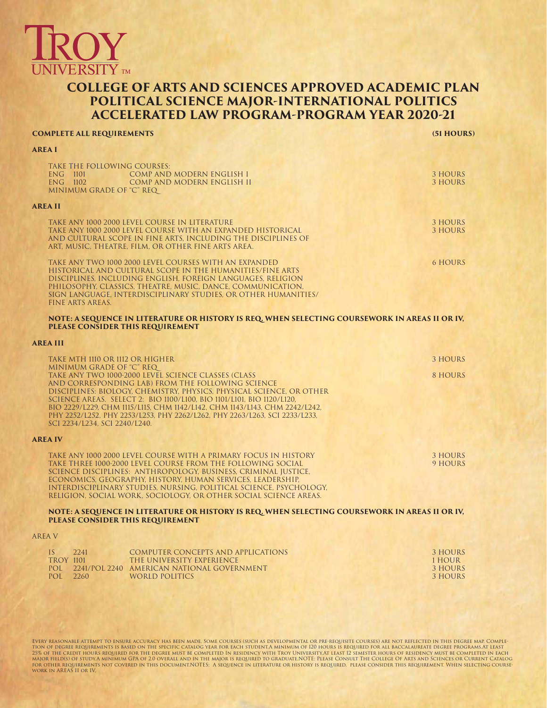

## **COLLEGE OF ARTS AND SCIENCES APPROVED ACADEMIC PLAN POLITICAL SCIENCE MAJOR-INTERNATIONAL POLITICS ACCELERATED LAW PROGRAM-PROGRAM YEAR 2020-21**

## **COMPLETE ALL REQUIREMENTS (51 HOURS)**

**AREA I**

A

**AREA IV**

A<sub>l</sub>

| TAKE THE FOLLOWING COURSES:<br>ENG 1101<br>COMP AND MODERN ENGLISH I<br>ENG 1102<br>COMP AND MODERN ENGLISH II<br>MINIMUM GRADE OF "C" REQ                                                                                                                                                                                                                                                                                                                                                                            | 3 HOURS<br><b>3 HOURS</b>                      |
|-----------------------------------------------------------------------------------------------------------------------------------------------------------------------------------------------------------------------------------------------------------------------------------------------------------------------------------------------------------------------------------------------------------------------------------------------------------------------------------------------------------------------|------------------------------------------------|
| <b>AREA II</b>                                                                                                                                                                                                                                                                                                                                                                                                                                                                                                        |                                                |
| TAKE ANY 1000 2000 LEVEL COURSE IN LITERATURE<br>TAKE ANY 1000 2000 LEVEL COURSE WITH AN EXPANDED HISTORICAL<br>AND CULTURAL SCOPE IN FINE ARTS, INCLUDING THE DISCIPLINES OF<br>ART, MUSIC, THEATRE, FILM, OR OTHER FINE ARTS AREA.                                                                                                                                                                                                                                                                                  | <b>3 HOURS</b><br>3 HOURS                      |
| TAKE ANY TWO 1000 2000 LEVEL COURSES WITH AN EXPANDED<br>HISTORICAL AND CULTURAL SCOPE IN THE HUMANITIES/FINE ARTS<br>DISCIPLINES, INCLUDING ENGLISH, FOREIGN LANGUAGES, RELIGION<br>PHILOSOPHY, CLASSICS, THEATRE, MUSIC, DANCE, COMMUNICATION,<br>SIGN LANGUAGE, INTERDISCIPLINARY STUDIES, OR OTHER HUMANITIES/<br><b>FINE ARTS AREAS.</b>                                                                                                                                                                         | <b>6 HOURS</b>                                 |
| NOTE: A SEQUENCE IN LITERATURE OR HISTORY IS REQ. WHEN SELECTING COURSEWORK IN AREAS II OR IV,<br>PLEASE CONSIDER THIS REQUIREMENT                                                                                                                                                                                                                                                                                                                                                                                    |                                                |
| <b>AREA III</b>                                                                                                                                                                                                                                                                                                                                                                                                                                                                                                       |                                                |
| TAKE MTH 1110 OR 1112 OR HIGHER<br>MINIMUM GRADE OF "C" REQ<br>TAKE ANY TWO 1000-2000 LEVEL SCIENCE CLASSES (CLASS<br>AND CORRESPONDING LAB) FROM THE FOLLOWING SCIENCE<br>DISCIPLINES: BIOLOGY, CHEMISTRY, PHYSICS, PHYSICAL SCIENCE, OR OTHER<br>SCIENCE AREAS. SELECT 2: BIO 1100/L100, BIO 1101/L101, BIO 1120/L120,<br>BIO 2229/L229, CHM 1115/L115, CHM 1142/L142, CHM 1143/L143, CHM 2242/L242,<br>PHY 2252/L252, PHY 2253/L253, PHY 2262/L262, PHY 2263/L263, SCI 2233/L233,<br>SCI 2234/L234, SCI 2240/L240. | 3 HOURS<br>8 HOURS                             |
| <b>AREA IV</b>                                                                                                                                                                                                                                                                                                                                                                                                                                                                                                        |                                                |
| TAKE ANY 1000 2000 LEVEL COURSE WITH A PRIMARY FOCUS IN HISTORY<br>TAKE THREE 1000-2000 LEVEL COURSE FROM THE FOLLOWING SOCIAL<br>SCIENCE DISCIPLINES: ANTHROPOLOGY, BUSINESS, CRIMINAL JUSTICE,<br>ECONOMICS, GEOGRAPHY, HISTORY, HUMAN SERVICES, LEADERSHIP,<br>INTERDISCIPLINARY STUDIES, NURSING, POLITICAL SCIENCE, PSYCHOLOGY,<br>RELIGION, SOCIAL WORK, SOCIOLOGY, OR OTHER SOCIAL SCIENCE AREAS.                                                                                                              | <b>3 HOURS</b><br>9 HOURS                      |
| NOTE: A SEQUENCE IN LITERATURE OR HISTORY IS REQ. WHEN SELECTING COURSEWORK IN AREAS II OR IV,<br>PLEASE CONSIDER THIS REQUIREMENT                                                                                                                                                                                                                                                                                                                                                                                    |                                                |
| <b>AREA V</b>                                                                                                                                                                                                                                                                                                                                                                                                                                                                                                         |                                                |
| IS<br>2241<br><b>COMPUTER CONCEPTS AND APPLICATIONS</b><br><b>TROY 1101</b><br>THE UNIVERSITY EXPERIENCE<br>POL 2241/POL 2240 AMERICAN NATIONAL GOVERNMENT<br>POL 2260<br>EXAMPLE IN EXAMPLE IN THE WORLD POLITICS                                                                                                                                                                                                                                                                                                    | 3 HOURS<br>1 HOUR<br><b>3 HOURS</b><br>3 HOURS |

EVERY REASONABLE ATTEMPT TO ENSURE ACCURACY HAS BEEN MADE. SOME COURSES (SUCH AS DEVELOPMENTAL OR PRE-REQUISES) ARE NOT REFLECTED IN THIS DEGREE MAP. COMPLE-<br>TION OF DEGREE REQUREMENTS IS BASED ON THE SPECIFIC CATALOG YEAR